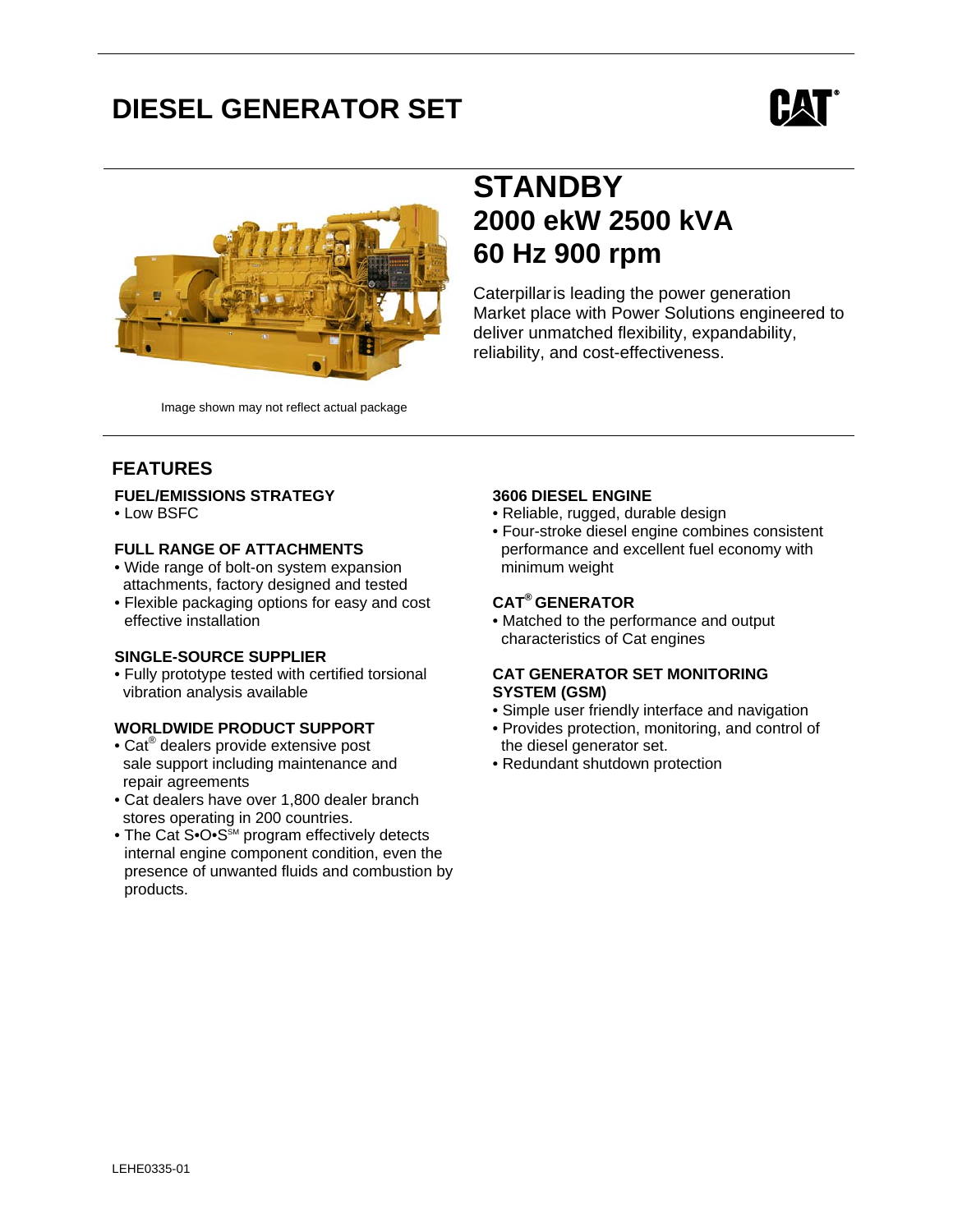# **DIESEL GENERATOR SET**





Image shown may not reflect actual package

## **STANDBY 2000 ekW 2500 kVA 60 Hz 900 rpm**

Caterpillaris leading the power generation Market place with Power Solutions engineered to deliver unmatched flexibility, expandability, reliability, and cost-effectiveness.

## **FEATURES**

#### **FUEL/EMISSIONS STRATEGY**

• Low BSFC

### **FULL RANGE OF ATTACHMENTS**

- Wide range of bolt-on system expansion attachments, factory designed and tested
- Flexible packaging options for easy and cost effective installation

#### **SINGLE-SOURCE SUPPLIER**

• Fully prototype tested with certified torsional vibration analysis available

#### **WORLDWIDE PRODUCT SUPPORT**

- Cat<sup>®</sup> dealers provide extensive post sale support including maintenance and repair agreements
- Cat dealers have over 1,800 dealer branch stores operating in 200 countries.
- The Cat S• $O \cdot S^{\text{SM}}$  program effectively detects internal engine component condition, even the presence of unwanted fluids and combustion by products.

## **3606 DIESEL ENGINE**

- Reliable, rugged, durable design
- Four-stroke diesel engine combines consistent performance and excellent fuel economy with minimum weight

## **CAT® GENERATOR**

• Matched to the performance and output characteristics of Cat engines

### **CAT GENERATOR SET MONITORING SYSTEM (GSM)**

- Simple user friendly interface and navigation
- Provides protection, monitoring, and control of the diesel generator set.
- Redundant shutdown protection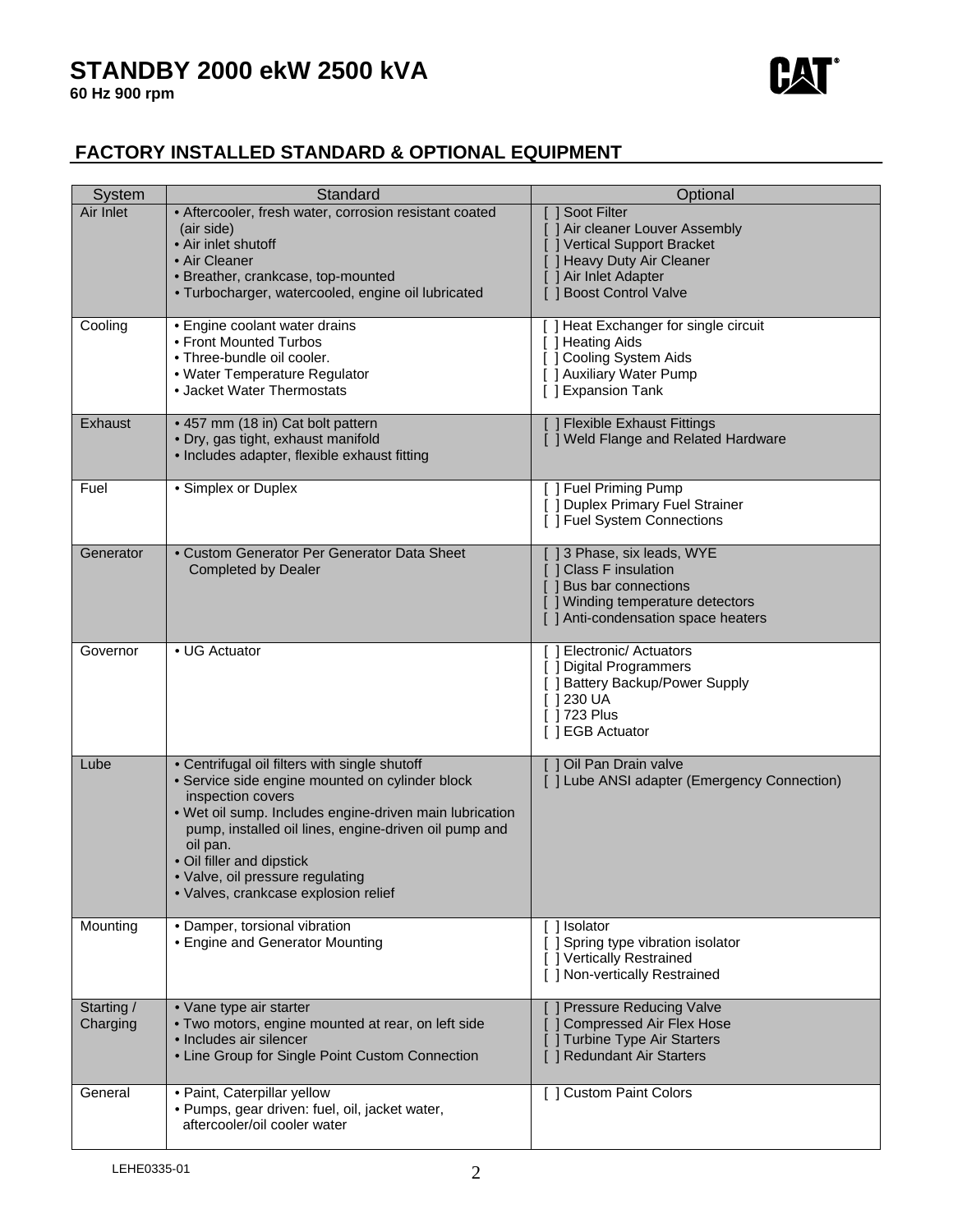

## **FACTORY INSTALLED STANDARD & OPTIONAL EQUIPMENT**

| System                 | Standard                                                                                                                                                                                                                                                                                                                                                       | Optional                                                                                                                                                           |
|------------------------|----------------------------------------------------------------------------------------------------------------------------------------------------------------------------------------------------------------------------------------------------------------------------------------------------------------------------------------------------------------|--------------------------------------------------------------------------------------------------------------------------------------------------------------------|
| Air Inlet              | • Aftercooler, fresh water, corrosion resistant coated<br>(air side)<br>• Air inlet shutoff<br>• Air Cleaner<br>· Breather, crankcase, top-mounted<br>· Turbocharger, watercooled, engine oil lubricated                                                                                                                                                       | [ ] Soot Filter<br>[ ] Air cleaner Louver Assembly<br>J Vertical Support Bracket<br>[ ] Heavy Duty Air Cleaner<br>[ ] Air Inlet Adapter<br>[ ] Boost Control Valve |
| Cooling                | • Engine coolant water drains<br>• Front Mounted Turbos<br>• Three-bundle oil cooler.<br>· Water Temperature Regulator<br>• Jacket Water Thermostats                                                                                                                                                                                                           | [ ] Heat Exchanger for single circuit<br>[ ] Heating Aids<br>[ ] Cooling System Aids<br>[ ] Auxiliary Water Pump<br>[ ] Expansion Tank                             |
| Exhaust                | • 457 mm (18 in) Cat bolt pattern<br>· Dry, gas tight, exhaust manifold<br>• Includes adapter, flexible exhaust fitting                                                                                                                                                                                                                                        | <b>J Flexible Exhaust Fittings</b><br>[ ] Weld Flange and Related Hardware                                                                                         |
| Fuel                   | • Simplex or Duplex                                                                                                                                                                                                                                                                                                                                            | [ ] Fuel Priming Pump<br>[ ] Duplex Primary Fuel Strainer<br>[ ] Fuel System Connections                                                                           |
| Generator              | • Custom Generator Per Generator Data Sheet<br><b>Completed by Dealer</b>                                                                                                                                                                                                                                                                                      | [] 3 Phase, six leads, WYE<br>[ ] Class F insulation<br>[ ] Bus bar connections<br>[ ] Winding temperature detectors<br>1 Anti-condensation space heaters          |
| Governor               | • UG Actuator                                                                                                                                                                                                                                                                                                                                                  | [] Electronic/ Actuators<br>[ ] Digital Programmers<br>[ ] Battery Backup/Power Supply<br>$[$ 1230 UA<br>[ 1723 Plus<br>[ ] EGB Actuator                           |
| Lube                   | • Centrifugal oil filters with single shutoff<br>· Service side engine mounted on cylinder block<br>inspection covers<br>. Wet oil sump. Includes engine-driven main lubrication<br>pump, installed oil lines, engine-driven oil pump and<br>oil pan.<br>• Oil filler and dipstick<br>· Valve, oil pressure regulating<br>· Valves, crankcase explosion relief | [ ] Oil Pan Drain valve<br>[ ] Lube ANSI adapter (Emergency Connection)                                                                                            |
| Mounting               | • Damper, torsional vibration<br>• Engine and Generator Mounting                                                                                                                                                                                                                                                                                               | $[ ]$ Isolator<br>[ ] Spring type vibration isolator<br>[ ] Vertically Restrained<br>[ ] Non-vertically Restrained                                                 |
| Starting /<br>Charging | • Vane type air starter<br>. Two motors, engine mounted at rear, on left side<br>• Includes air silencer<br>• Line Group for Single Point Custom Connection                                                                                                                                                                                                    | <b>Pressure Reducing Valve</b><br>[ ] Compressed Air Flex Hose<br><b>Turbine Type Air Starters</b><br>[ ] Redundant Air Starters                                   |
| General                | · Paint, Caterpillar yellow<br>· Pumps, gear driven: fuel, oil, jacket water,<br>aftercooler/oil cooler water                                                                                                                                                                                                                                                  | [ ] Custom Paint Colors                                                                                                                                            |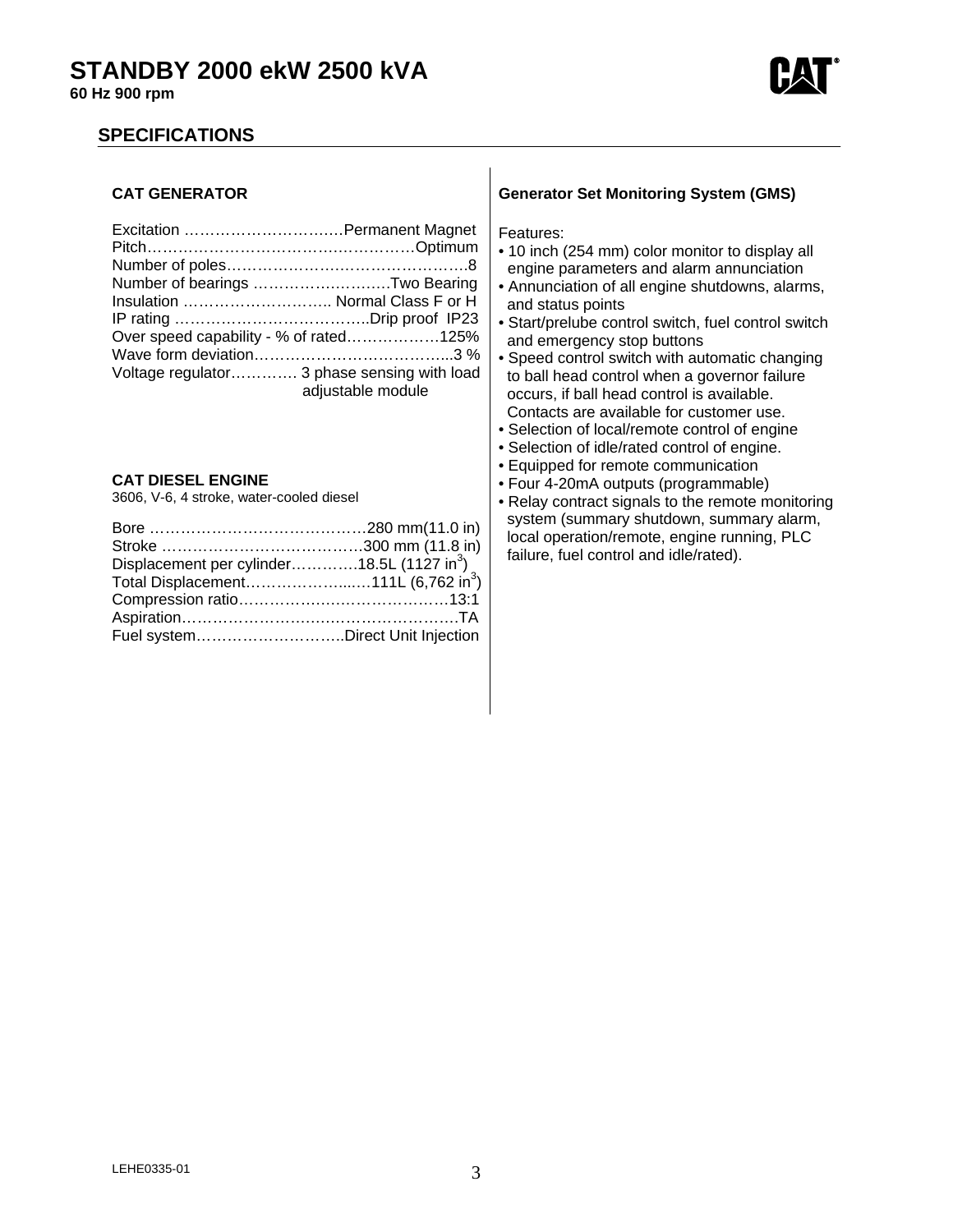

## **SPECIFICATIONS**

### **CAT GENERATOR**

| Number of bearings Two Bearing              |                   |
|---------------------------------------------|-------------------|
| Insulation  Normal Class F or H             |                   |
|                                             |                   |
| Over speed capability - % of rated125%      |                   |
|                                             |                   |
| Voltage regulator 3 phase sensing with load | adjustable module |

### **CAT DIESEL ENGINE**

3606, V-6, 4 stroke, water-cooled diesel

| Displacement per cylinder18.5L (1127 in <sup>3</sup> ) |  |
|--------------------------------------------------------|--|
| Total Displacement111L (6,762 in <sup>3</sup> )        |  |
|                                                        |  |
|                                                        |  |
| Fuel systemDirect Unit Injection                       |  |

#### **Generator Set Monitoring System (GMS)**

Features:

- 10 inch (254 mm) color monitor to display all engine parameters and alarm annunciation
- Annunciation of all engine shutdowns, alarms, and status points
- Start/prelube control switch, fuel control switch and emergency stop buttons
- Speed control switch with automatic changing to ball head control when a governor failure occurs, if ball head control is available. Contacts are available for customer use.
- Selection of local/remote control of engine
- Selection of idle/rated control of engine.
- Equipped for remote communication
- Four 4-20mA outputs (programmable)
- Relay contract signals to the remote monitoring system (summary shutdown, summary alarm, local operation/remote, engine running, PLC failure, fuel control and idle/rated).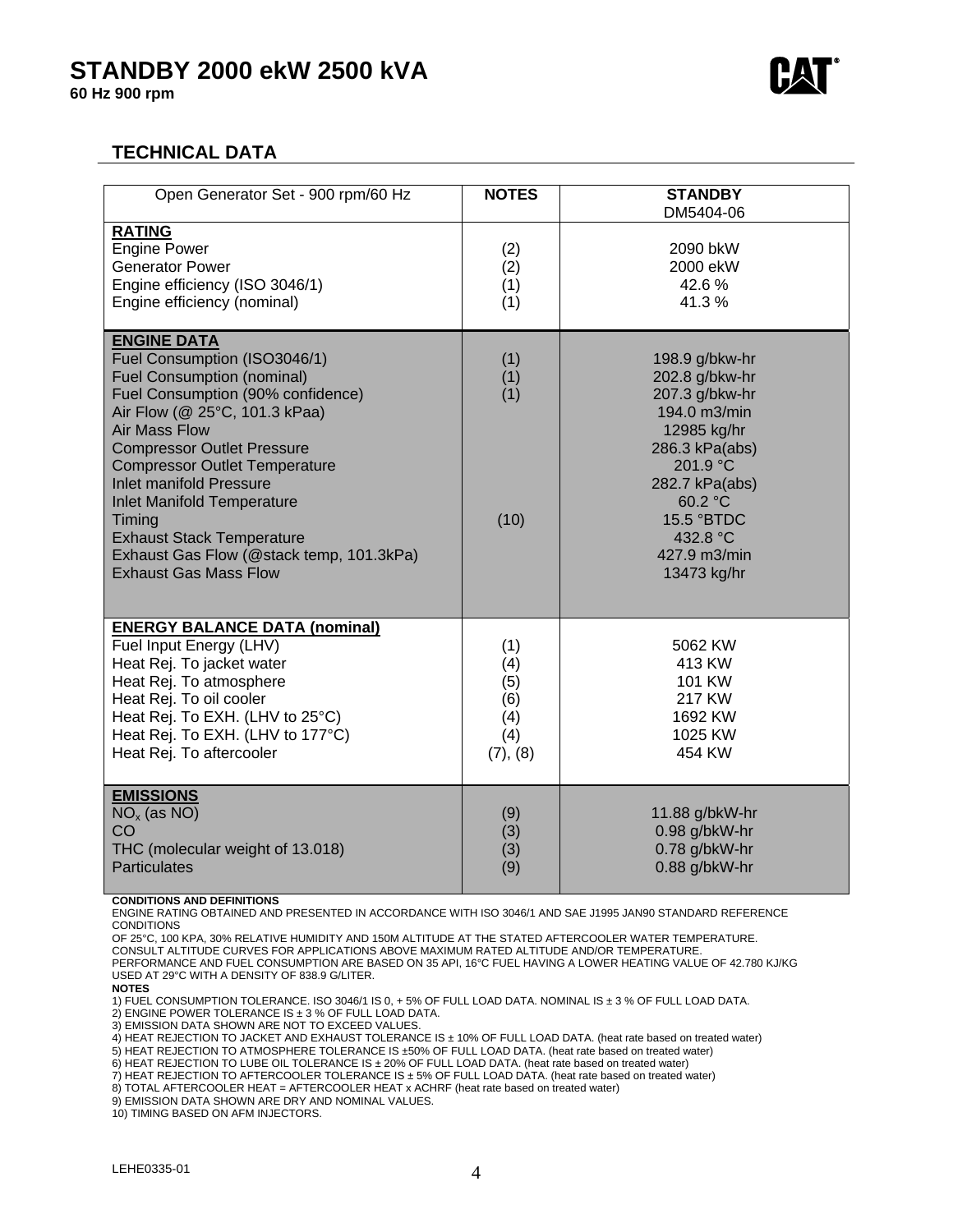# **STANDBY 2000 ekW 2500 kVA**

**60 Hz 900 rpm** 



## **TECHNICAL DATA**

| Open Generator Set - 900 rpm/60 Hz                                                                                                                                                                                                                                                                                                                                                                                                                                  | <b>NOTES</b>                                       | <b>STANDBY</b><br>DM5404-06                                                                                                                                                                           |
|---------------------------------------------------------------------------------------------------------------------------------------------------------------------------------------------------------------------------------------------------------------------------------------------------------------------------------------------------------------------------------------------------------------------------------------------------------------------|----------------------------------------------------|-------------------------------------------------------------------------------------------------------------------------------------------------------------------------------------------------------|
| <b>RATING</b><br><b>Engine Power</b><br><b>Generator Power</b><br>Engine efficiency (ISO 3046/1)<br>Engine efficiency (nominal)                                                                                                                                                                                                                                                                                                                                     | (2)<br>(2)<br>(1)<br>(1)                           | 2090 bkW<br>2000 ekW<br>42.6%<br>41.3%                                                                                                                                                                |
| <b>ENGINE DATA</b><br>Fuel Consumption (ISO3046/1)<br><b>Fuel Consumption (nominal)</b><br>Fuel Consumption (90% confidence)<br>Air Flow (@ 25°C, 101.3 kPaa)<br><b>Air Mass Flow</b><br><b>Compressor Outlet Pressure</b><br><b>Compressor Outlet Temperature</b><br><b>Inlet manifold Pressure</b><br><b>Inlet Manifold Temperature</b><br>Timing<br><b>Exhaust Stack Temperature</b><br>Exhaust Gas Flow (@stack temp, 101.3kPa)<br><b>Exhaust Gas Mass Flow</b> | (1)<br>(1)<br>(1)<br>(10)                          | 198.9 g/bkw-hr<br>202.8 g/bkw-hr<br>207.3 g/bkw-hr<br>194.0 m3/min<br>12985 kg/hr<br>286.3 kPa(abs)<br>201.9 °C<br>282.7 kPa(abs)<br>60.2 °C<br>15.5 °BTDC<br>432.8 °C<br>427.9 m3/min<br>13473 kg/hr |
| <b>ENERGY BALANCE DATA (nominal)</b><br>Fuel Input Energy (LHV)<br>Heat Rej. To jacket water<br>Heat Rej. To atmosphere<br>Heat Rej. To oil cooler<br>Heat Rej. To EXH. (LHV to 25°C)<br>Heat Rej. To EXH. (LHV to 177°C)<br>Heat Rej. To aftercooler                                                                                                                                                                                                               | (1)<br>(4)<br>(5)<br>(6)<br>(4)<br>(4)<br>(7), (8) | 5062 KW<br>413 KW<br>101 KW<br>217 KW<br>1692 KW<br>1025 KW<br>454 KW                                                                                                                                 |
| <b>EMISSIONS</b><br>$NOx$ (as NO)<br>CO<br>THC (molecular weight of 13.018)<br><b>Particulates</b>                                                                                                                                                                                                                                                                                                                                                                  | (9)<br>(3)<br>(3)<br>(9)                           | 11.88 g/bkW-hr<br>0.98 g/bkW-hr<br>0.78 g/bkW-hr<br>0.88 g/bkW-hr                                                                                                                                     |

#### **CONDITIONS AND DEFINITIONS**

ENGINE RATING OBTAINED AND PRESENTED IN ACCORDANCE WITH ISO 3046/1 AND SAE J1995 JAN90 STANDARD REFERENCE **CONDITIONS** 

OF 25°C, 100 KPA, 30% RELATIVE HUMIDITY AND 150M ALTITUDE AT THE STATED AFTERCOOLER WATER TEMPERATURE.

CONSULT ALTITUDE CURVES FOR APPLICATIONS ABOVE MAXIMUM RATED ALTITUDE AND/OR TEMPERATURE. PERFORMANCE AND FUEL CONSUMPTION ARE BASED ON 35 API, 16°C FUEL HAVING A LOWER HEATING VALUE OF 42.780 KJ/KG USED AT 29°C WITH A DENSITY OF 838.9 G/LITER.

**NOTES** 

1) FUEL CONSUMPTION TOLERANCE. ISO 3046/1 IS 0, + 5% OF FULL LOAD DATA. NOMINAL IS ± 3 % OF FULL LOAD DATA.

2) ENGINE POWER TOLERANCE IS ± 3 % OF FULL LOAD DATA.

3) EMISSION DATA SHOWN ARE NOT TO EXCEED VALUES.

4) HEAT REJECTION TO JACKET AND EXHAUST TOLERANCE IS ± 10% OF FULL LOAD DATA. (heat rate based on treated water)

5) HEAT REJECTION TO ATMOSPHERE TOLERANCE IS ±50% OF FULL LOAD DATA. (heat rate based on treated water)

6) HEAT REJECTION TO LUBE OIL TOLERANCE IS ± 20% OF FULL LOAD DATA. (heat rate based on treated water) 7) HEAT REJECTION TO AFTERCOOLER TOLERANCE IS ± 5% OF FULL LOAD DATA. (heat rate based on treated water)

8) TOTAL AFTERCOOLER HEAT = AFTERCOOLER HEAT x ACHRF (heat rate based on treated water)

9) EMISSION DATA SHOWN ARE DRY AND NOMINAL VALUES.

10) TIMING BASED ON AFM INJECTORS.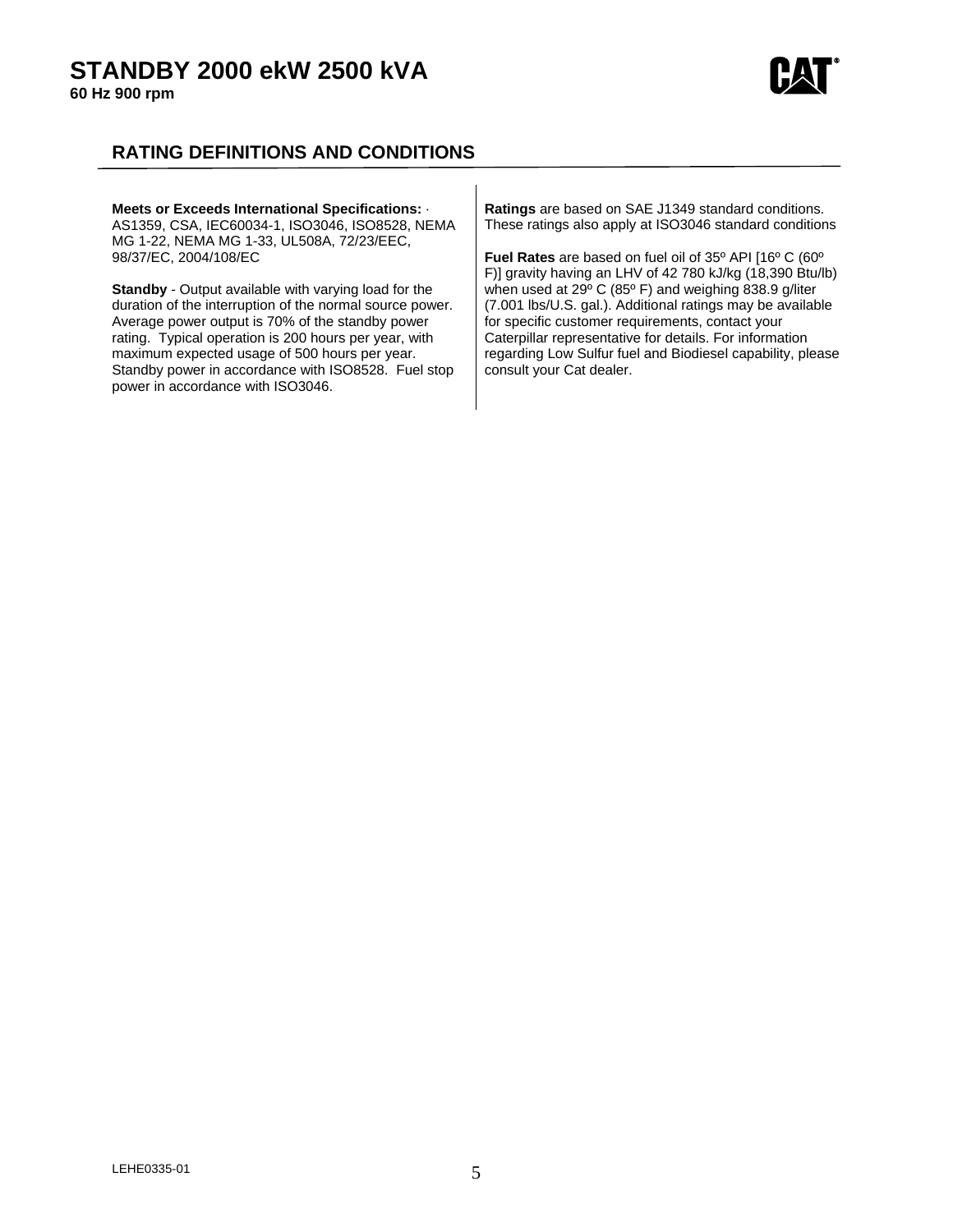## **STANDBY 2000 ekW 2500 kVA**

**60 Hz 900 rpm** 



## **RATING DEFINITIONS AND CONDITIONS**

|  | Meets or Exceeds International Specifications: .<br>AS1359, CSA, IEC60034-1, ISO3046, ISO8528, NEMA<br>MG 1-22, NEMA MG 1-33, UL508A, 72/23/EEC,<br>98/37/EC. 2004/108/EC<br><b>Standby</b> - Output available with varying load for the<br>duration of the interruption of the normal source power.<br>Average power output is 70% of the standby power<br>rating. Typical operation is 200 hours per year, with<br>maximum expected usage of 500 hours per year.<br>Standby power in accordance with ISO8528. Fuel stop<br>power in accordance with ISO3046. | <b>Ratings</b> are based on SAE J1349 standard conditions.<br>These ratings also apply at ISO3046 standard conditions<br><b>Fuel Rates</b> are based on fuel oil of 35° API [16° C (60°<br>F)] gravity having an LHV of 42 780 kJ/kg (18,390 Btu/lb)<br>when used at 29° C (85° F) and weighing 838.9 g/liter<br>(7.001 lbs/U.S. gal.). Additional ratings may be available<br>for specific customer requirements, contact your<br>Caterpillar representative for details. For information<br>regarding Low Sulfur fuel and Biodiesel capability, please<br>consult your Cat dealer. |
|--|----------------------------------------------------------------------------------------------------------------------------------------------------------------------------------------------------------------------------------------------------------------------------------------------------------------------------------------------------------------------------------------------------------------------------------------------------------------------------------------------------------------------------------------------------------------|--------------------------------------------------------------------------------------------------------------------------------------------------------------------------------------------------------------------------------------------------------------------------------------------------------------------------------------------------------------------------------------------------------------------------------------------------------------------------------------------------------------------------------------------------------------------------------------|
|--|----------------------------------------------------------------------------------------------------------------------------------------------------------------------------------------------------------------------------------------------------------------------------------------------------------------------------------------------------------------------------------------------------------------------------------------------------------------------------------------------------------------------------------------------------------------|--------------------------------------------------------------------------------------------------------------------------------------------------------------------------------------------------------------------------------------------------------------------------------------------------------------------------------------------------------------------------------------------------------------------------------------------------------------------------------------------------------------------------------------------------------------------------------------|